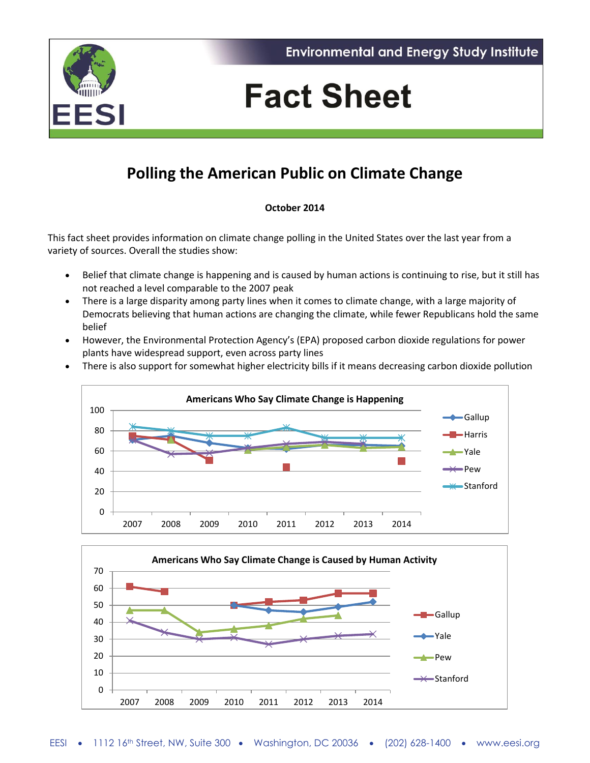



# **Fact Sheet**

## **Polling the American Public on Climate Change**

### **October 2014**

This fact sheet provides information on climate change polling in the United States over the last year from a variety of sources. Overall the studies show:

- Belief that climate change is happening and is caused by human actions is continuing to rise, but it still has not reached a level comparable to the 2007 peak
- There is a large disparity among party lines when it comes to climate change, with a large majority of Democrats believing that human actions are changing the climate, while fewer Republicans hold the same belief
- However, the Environmental Protection Agency's (EPA) proposed carbon dioxide regulations for power plants have widespread support, even across party lines
- There is also support for somewhat higher electricity bills if it means decreasing carbon dioxide pollution



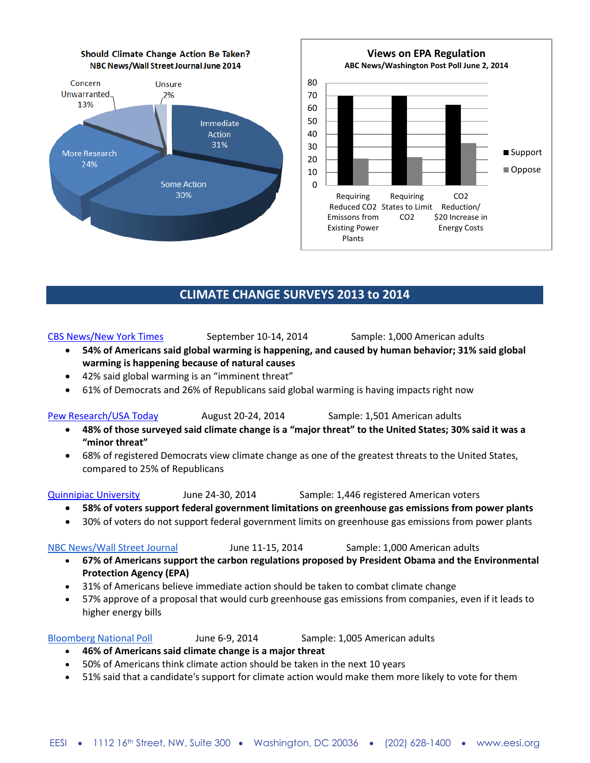

[CBS News/New York Times](http://www.nytimes.com/2014/09/23/science/global-warming-concerns-grow.html) September 10-14, 2014 Sample: 1,000 American adults

Reduced CO2 States to Limit Reduction/

C<sub>O2</sub>

Requiring

**Views on EPA Regulation ABC News/Washington Post Poll June 2, 2014**

CO2

■ Support Oppose

\$20 Increase in Energy Costs

- **54% of Americans said global warming is happening, and caused by human behavior; 31% said global warming is happening because of natural causes**
- 42% said global warming is an "imminent threat"
- 61% of Democrats and 26% of Republicans said global warming is having impacts right now

[Pew Research/USA Today](http://www.people-press.org/files/2014/08/8-28-14-Obama-and-Foreign-Affairs-release.pdf) August 20-24, 2014 Sample: 1,501 American adults

- **48% of those surveyed said climate change is a "major threat" to the United States; 30% said it was a "minor threat"**
- 68% of registered Democrats view climate change as one of the greatest threats to the United States, compared to 25% of Republicans

[Quinnipiac University](http://www.quinnipiac.edu/news-and-events/quinnipiac-university-poll/national/release-detail?ReleaseID=2057) June 24-30, 2014 Sample: 1,446 registered American voters

Requiring

Plants

- **58% of voters support federal government limitations on greenhouse gas emissions from power plants**
- 30% of voters do not support federal government limits on greenhouse gas emissions from power plants

- **67% of Americans support the carbon regulations proposed by President Obama and the Environmental Protection Agency (EPA)**
- 31% of Americans believe immediate action should be taken to combat climate change
- 57% approve of a proposal that would curb greenhouse gas emissions from companies, even if it leads to higher energy bills

### [Bloomberg National Poll](http://www.bloomberg.com/infographics/2014-06-11/national-poll.html#climate-change) June 6-9, 2014 Sample: 1,005 American adults

- **46% of Americans said climate change is a major threat**
- 50% of Americans think climate action should be taken in the next 10 years
- 51% said that a candidate's support for climate action would make them more likely to vote for them

[NBC News/Wall Street Journal](http://www.pollingreport.com/enviro.htm#AutoNumber91) June 11-15, 2014 Sample: 1,000 American adults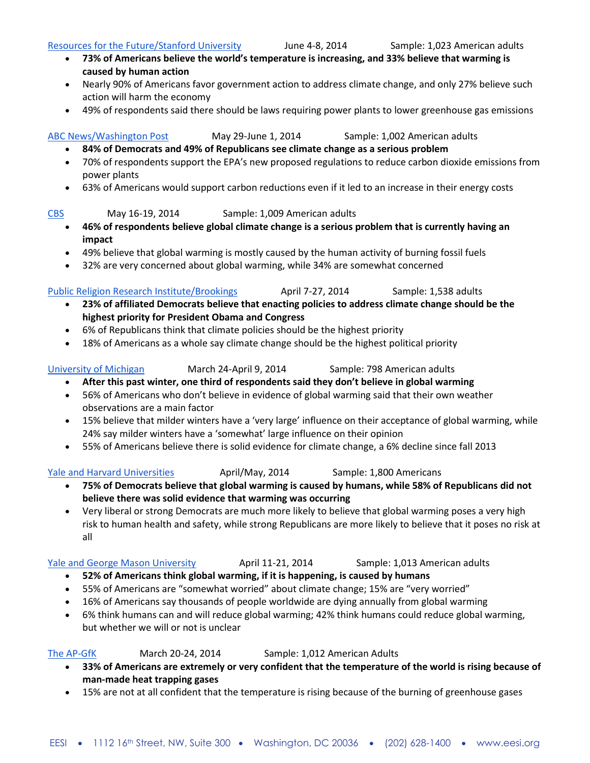### [Resources for the Future/Stanford University](http://www.rff.org/Documents/Stanford-RFF-Global-Warming-Poll-June-2014-TOPLINE.pdf) Furne 4-8, 2014 Sample: 1,023 American adults

- **73% of Americans believe the world's temperature is increasing, and 33% believe that warming is caused by human action**
- Nearly 90% of Americans favor government action to address climate change, and only 27% believe such action will harm the economy
- 49% of respondents said there should be laws requiring power plants to lower greenhouse gas emissions

### [ABC News/Washington Post](http://www.langerresearch.com/uploads/1161a1EPARegulations.pdf) May 29-June 1, 2014 Sample: 1,002 American adults

- **84% of Democrats and 49% of Republicans see climate change as a serious problem**
- 70% of respondents support the EPA's new proposed regulations to reduce carbon dioxide emissions from power plants
- 63% of Americans would support carbon reductions even if it led to an increase in their energy costs
- [CBS](http://www.pollingreport.com/enviro.htm#AutoNumber87) May 16-19, 2014 Sample: 1,009 American adults
	- **46% of respondents believe global climate change is a serious problem that is currently having an impact**
	- 49% believe that global warming is mostly caused by the human activity of burning fossil fuels
	- 32% are very concerned about global warming, while 34% are somewhat concerned
- [Public Religion Research Institute/Brookings](http://publicreligion.org/site/wp-content/uploads/2014/06/Final-Immigration-Survey.pdf) April 7-27, 2014 Sample: 1,538 adults **23% of affiliated Democrats believe that enacting policies to address climate change should be the highest priority for President Obama and Congress**
	- 6% of Republicans think that climate policies should be the highest priority
	- 18% of Americans as a whole say climate change should be the highest political priority

- [University of Michigan](http://closup.umich.edu/issues-in-energy-and-environmental-policy/12/american-acceptance-of-global-warming-retreats-in-wake-of-winter-2014/) March 24-April 9, 2014 Sample: 798 American adults **After this past winter, one third of respondents said they don't believe in global warming**
	- 56% of Americans who don't believe in evidence of global warming said that their own weather observations are a main factor
	- 15% believe that milder winters have a 'very large' influence on their acceptance of global warming, while 24% say milder winters have a 'somewhat' large influence on their opinion
	- 55% of Americans believe there is solid evidence for climate change, a 6% decline since fall 2013

[Yale and Harvard Universities](http://papers.ssrn.com/sol3/papers.cfm?abstract_id=2459057) April/May, 2014 Sample: 1,800 Americans

- **75% of Democrats believe that global warming is caused by humans, while 58% of Republicans did not believe there was solid evidence that warming was occurring**
- Very liberal or strong Democrats are much more likely to believe that global warming poses a very high risk to human health and safety, while strong Republicans are more likely to believe that it poses no risk at all

[Yale and George Mason University](http://environment.yale.edu/climate-communication/article/climate-change-in-the-american-mind-april-2014) **April 11-21, 2014** Sample: 1,013 American adults

- **52% of Americans think global warming, if it is happening, is caused by humans**
- 55% of Americans are "somewhat worried" about climate change; 15% are "very worried"
- 16% of Americans say thousands of people worldwide are dying annually from global warming
- 6% think humans can and will reduce global warming; 42% think humans could reduce global warming, but whether we will or not is unclear

[The AP-GfK](http://ap-gfkpoll.com/main/wp-content/uploads/2014/04/AP-GfK-March-2014-Poll-Topline-Final_SCIENCE.pdf) March 20-24, 2014 Sample: 1,012 American Adults

- **33% of Americans are extremely or very confident that the temperature of the world is rising because of man-made heat trapping gases**
- 15% are not at all confident that the temperature is rising because of the burning of greenhouse gases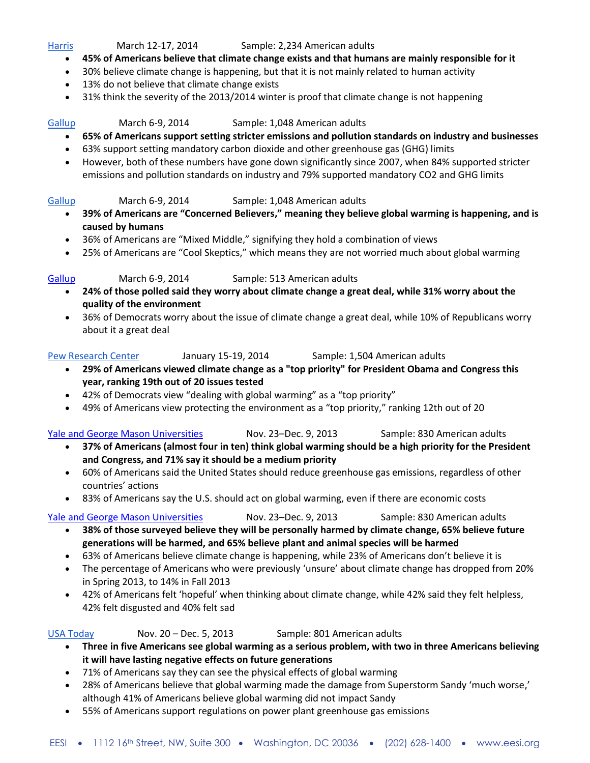### [Harris](http://www.harrisinteractive.com/NewsRoom/HarrisPolls/tabid/447/mid/1508/articleId/1412/ctl/ReadCustom%20Default/Default.aspx) March 12-17, 2014 Sample: 2,234 American adults

- **45% of Americans believe that climate change exists and that humans are mainly responsible for it**
- 30% believe climate change is happening, but that it is not mainly related to human activity
- 13% do not believe that climate change exists
- 31% think the severity of the 2013/2014 winter is proof that climate change is not happening

### [Gallup](http://www.gallup.com/poll/170885/smaller-majorities-favor-gov-pollution-controls.aspx) March 6-9, 2014 Sample: 1,048 American adults

- **65% of Americans support setting stricter emissions and pollution standards on industry and businesses**
- 63% support setting mandatory carbon dioxide and other greenhouse gas (GHG) limits
- However, both of these numbers have gone down significantly since 2007, when 84% supported stricter emissions and pollution standards on industry and 79% supported mandatory CO2 and GHG limits

### [Gallup](http://www.gallup.com/poll/168620/one-four-solidly-skeptical-global-warming.aspx) March 6-9, 2014 Sample: 1,048 American adults

- **39% of Americans are "Concerned Believers," meaning they believe global warming is happening, and is caused by humans**
- 36% of Americans are "Mixed Middle," signifying they hold a combination of views
- 25% of Americans are "Cool Skeptics," which means they are not worried much about global warming

### [Gallup](http://www.gallup.com/poll/167843/climate-change-not-top-worry.aspx) March 6-9, 2014 Sample: 513 American adults

- **24% of those polled said they worry about climate change a great deal, while 31% worry about the quality of the environment**
- 36% of Democrats worry about the issue of climate change a great deal, while 10% of Republicans worry about it a great deal

[Pew Research Center](http://www.people-press.org/2014/01/27/deficit-reduction-declines-as-policy-priority/2/) January 15-19, 2014 Sample: 1,504 American adults

- **29% of Americans viewed climate change as a "top priority" for President Obama and Congress this year, ranking 19th out of 20 issues tested**
- 42% of Democrats view "dealing with global warming" as a "top priority"
- 49% of Americans view protecting the environment as a "top priority," ranking 12th out of 20

#### [Yale and George Mason Universities](http://environment.yale.edu/climate-communication/files/Climate-Policy-Report-November-2013.pdf) Nov. 23–Dec. 9, 2013 Sample: 830 American adults

- **37% of Americans (almost four in ten) think global warming should be a high priority for the President and Congress, and 71% say it should be a medium priority**
- 60% of Americans said the United States should reduce greenhouse gas emissions, regardless of other countries' actions
- 83% of Americans say the U.S. should act on global warming, even if there are economic costs

#### [Yale and George Mason Universities](http://environment.yale.edu/climate-communication/files/Climate-Beliefs-November-2013.pdf) Nov. 23–Dec. 9, 2013 Sample: 830 American adults

- **38% of those surveyed believe they will be personally harmed by climate change, 65% believe future generations will be harmed, and 65% believe plant and animal species will be harmed**
- 63% of Americans believe climate change is happening, while 23% of Americans don't believe it is
- The percentage of Americans who were previously 'unsure' about climate change has dropped from 20% in Spring 2013, to 14% in Fall 2013
- 42% of Americans felt 'hopeful' when thinking about climate change, while 42% said they felt helpless, 42% felt disgusted and 40% felt sad

#### [USA Today](http://www.usatoday.com/story/news/nation/2013/12/19/americans-global-warming/4127803/) Nov. 20 – Dec. 5, 2013 Sample: 801 American adults

- **Three in five Americans see global warming as a serious problem, with two in three Americans believing it will have lasting negative effects on future generations**
- 71% of Americans say they can see the physical effects of global warming
- 28% of Americans believe that global warming made the damage from Superstorm Sandy 'much worse,' although 41% of Americans believe global warming did not impact Sandy
- 55% of Americans support regulations on power plant greenhouse gas emissions